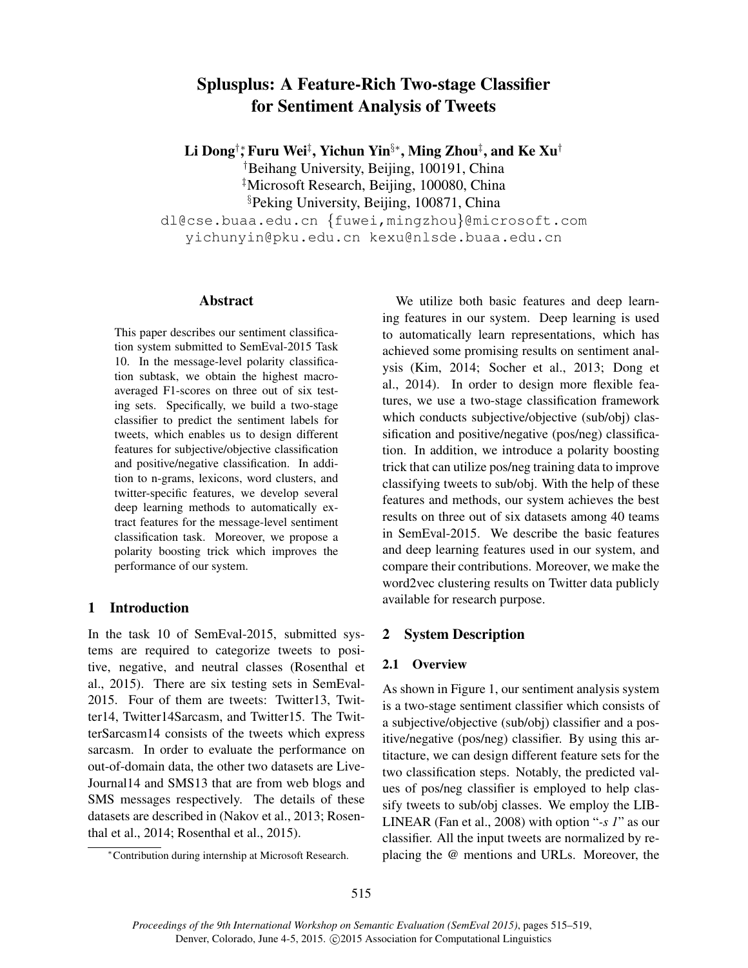# Splusplus: A Feature-Rich Two-stage Classifier for Sentiment Analysis of Tweets

Li Dong†,\* Furu Wei‡, Yichun Yin§\*, Ming Zhou‡, and Ke Xu†

†Beihang University, Beijing, 100191, China

‡Microsoft Research, Beijing, 100080, China

§Peking University, Beijing, 100871, China

dl@cse.buaa.edu.cn {fuwei,mingzhou}@microsoft.com yichunyin@pku.edu.cn kexu@nlsde.buaa.edu.cn

## Abstract

This paper describes our sentiment classification system submitted to SemEval-2015 Task 10. In the message-level polarity classification subtask, we obtain the highest macroaveraged F1-scores on three out of six testing sets. Specifically, we build a two-stage classifier to predict the sentiment labels for tweets, which enables us to design different features for subjective/objective classification and positive/negative classification. In addition to n-grams, lexicons, word clusters, and twitter-specific features, we develop several deep learning methods to automatically extract features for the message-level sentiment classification task. Moreover, we propose a polarity boosting trick which improves the performance of our system.

# 1 Introduction

In the task 10 of SemEval-2015, submitted systems are required to categorize tweets to positive, negative, and neutral classes (Rosenthal et al., 2015). There are six testing sets in SemEval-2015. Four of them are tweets: Twitter13, Twitter14, Twitter14Sarcasm, and Twitter15. The TwitterSarcasm14 consists of the tweets which express sarcasm. In order to evaluate the performance on out-of-domain data, the other two datasets are Live-Journal14 and SMS13 that are from web blogs and SMS messages respectively. The details of these datasets are described in (Nakov et al., 2013; Rosenthal et al., 2014; Rosenthal et al., 2015).

We utilize both basic features and deep learning features in our system. Deep learning is used to automatically learn representations, which has achieved some promising results on sentiment analysis (Kim, 2014; Socher et al., 2013; Dong et al., 2014). In order to design more flexible features, we use a two-stage classification framework which conducts subjective/objective (sub/obj) classification and positive/negative (pos/neg) classification. In addition, we introduce a polarity boosting trick that can utilize pos/neg training data to improve classifying tweets to sub/obj. With the help of these features and methods, our system achieves the best results on three out of six datasets among 40 teams in SemEval-2015. We describe the basic features and deep learning features used in our system, and compare their contributions. Moreover, we make the word2vec clustering results on Twitter data publicly available for research purpose.

# 2 System Description

## 2.1 Overview

As shown in Figure 1, our sentiment analysis system is a two-stage sentiment classifier which consists of a subjective/objective (sub/obj) classifier and a positive/negative (pos/neg) classifier. By using this artitacture, we can design different feature sets for the two classification steps. Notably, the predicted values of pos/neg classifier is employed to help classify tweets to sub/obj classes. We employ the LIB-LINEAR (Fan et al., 2008) with option "*-s 1*" as our classifier. All the input tweets are normalized by replacing the @ mentions and URLs. Moreover, the

<sup>∗</sup>Contribution during internship at Microsoft Research.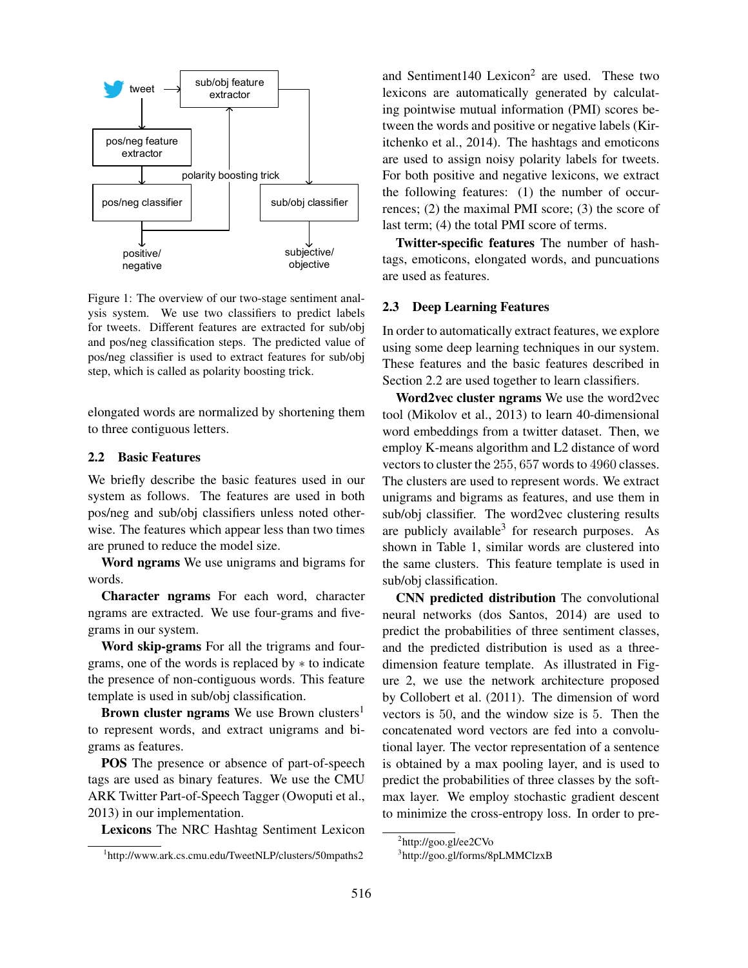

Figure 1: The overview of our two-stage sentiment analysis system. We use two classifiers to predict labels for tweets. Different features are extracted for sub/obj and pos/neg classification steps. The predicted value of pos/neg classifier is used to extract features for sub/obj step, which is called as polarity boosting trick.

elongated words are normalized by shortening them to three contiguous letters.

### 2.2 Basic Features

We briefly describe the basic features used in our system as follows. The features are used in both pos/neg and sub/obj classifiers unless noted otherwise. The features which appear less than two times are pruned to reduce the model size.

Word ngrams We use unigrams and bigrams for words.

Character ngrams For each word, character ngrams are extracted. We use four-grams and fivegrams in our system.

Word skip-grams For all the trigrams and fourgrams, one of the words is replaced by ∗ to indicate the presence of non-contiguous words. This feature template is used in sub/obj classification.

Brown cluster ngrams We use Brown clusters<sup>1</sup> to represent words, and extract unigrams and bigrams as features.

POS The presence or absence of part-of-speech tags are used as binary features. We use the CMU ARK Twitter Part-of-Speech Tagger (Owoputi et al., 2013) in our implementation.

Lexicons The NRC Hashtag Sentiment Lexicon

and Sentiment140 Lexicon<sup>2</sup> are used. These two lexicons are automatically generated by calculating pointwise mutual information (PMI) scores between the words and positive or negative labels (Kiritchenko et al., 2014). The hashtags and emoticons are used to assign noisy polarity labels for tweets. For both positive and negative lexicons, we extract the following features: (1) the number of occurrences; (2) the maximal PMI score; (3) the score of last term; (4) the total PMI score of terms.

Twitter-specific features The number of hashtags, emoticons, elongated words, and puncuations are used as features.

#### 2.3 Deep Learning Features

In order to automatically extract features, we explore using some deep learning techniques in our system. These features and the basic features described in Section 2.2 are used together to learn classifiers.

Word2vec cluster ngrams We use the word2vec tool (Mikolov et al., 2013) to learn 40-dimensional word embeddings from a twitter dataset. Then, we employ K-means algorithm and L2 distance of word vectors to cluster the 255, 657 words to 4960 classes. The clusters are used to represent words. We extract unigrams and bigrams as features, and use them in sub/obj classifier. The word2vec clustering results are publicly available<sup>3</sup> for research purposes. As shown in Table 1, similar words are clustered into the same clusters. This feature template is used in sub/obj classification.

CNN predicted distribution The convolutional neural networks (dos Santos, 2014) are used to predict the probabilities of three sentiment classes, and the predicted distribution is used as a threedimension feature template. As illustrated in Figure 2, we use the network architecture proposed by Collobert et al. (2011). The dimension of word vectors is 50, and the window size is 5. Then the concatenated word vectors are fed into a convolutional layer. The vector representation of a sentence is obtained by a max pooling layer, and is used to predict the probabilities of three classes by the softmax layer. We employ stochastic gradient descent to minimize the cross-entropy loss. In order to pre-

<sup>1</sup> http://www.ark.cs.cmu.edu/TweetNLP/clusters/50mpaths2

<sup>&</sup>lt;sup>2</sup>http://goo.gl/ee2CVo

<sup>3</sup> http://goo.gl/forms/8pLMMClzxB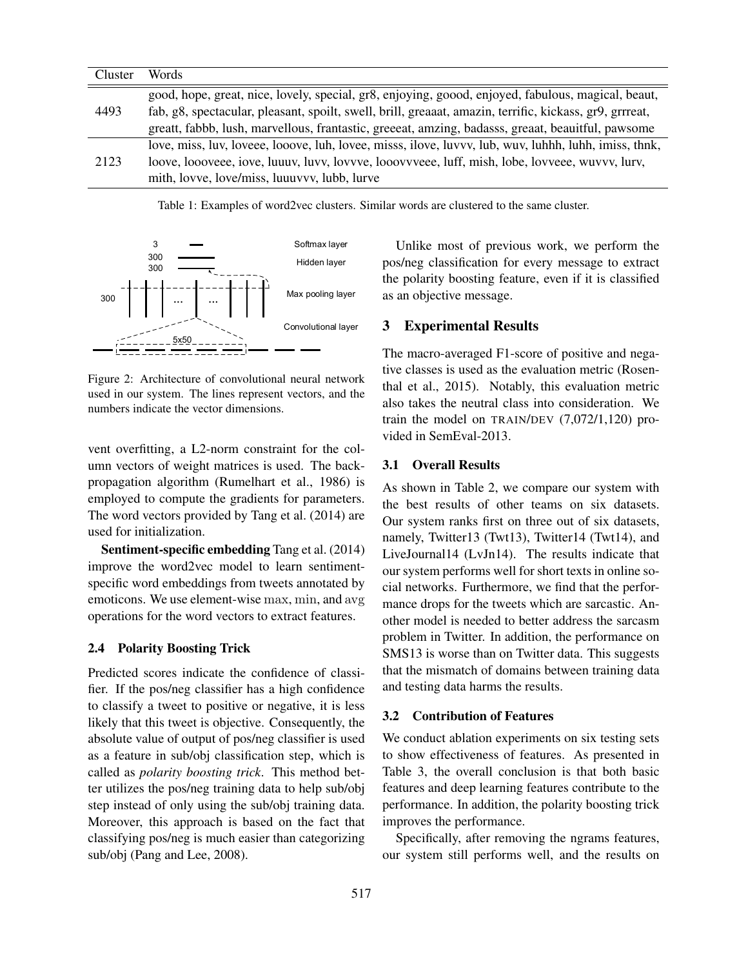| Cluster | Words                                                                                                   |
|---------|---------------------------------------------------------------------------------------------------------|
| 4493    | good, hope, great, nice, lovely, special, gr8, enjoying, goood, enjoyed, fabulous, magical, beaut,      |
|         | fab, g8, spectacular, pleasant, spoilt, swell, brill, greaaat, amazin, terrific, kickass, gr9, grrreat, |
|         | greatt, fabbb, lush, marvellous, frantastic, greeeat, amzing, badasss, greaat, beauitful, pawsome       |
| 2123    | love, miss, luv, loveee, looove, luh, lovee, misss, ilove, luvvv, lub, wuv, luhhh, luhh, imiss, thnk,   |
|         | loove, loooveee, iove, luuuv, luvv, lovvve, looovvveee, luff, mish, lobe, lovveee, wuvvv, lurv,         |
|         | mith, lovve, love/miss, luuuvvv, lubb, lurve                                                            |

Table 1: Examples of word2vec clusters. Similar words are clustered to the same cluster.



Figure 2: Architecture of convolutional neural network used in our system. The lines represent vectors, and the numbers indicate the vector dimensions.

vent overfitting, a L2-norm constraint for the column vectors of weight matrices is used. The backpropagation algorithm (Rumelhart et al., 1986) is employed to compute the gradients for parameters. The word vectors provided by Tang et al. (2014) are used for initialization.

Sentiment-specific embedding Tang et al. (2014) improve the word2vec model to learn sentimentspecific word embeddings from tweets annotated by emoticons. We use element-wise max, min, and avg operations for the word vectors to extract features.

#### 2.4 Polarity Boosting Trick

Predicted scores indicate the confidence of classifier. If the pos/neg classifier has a high confidence to classify a tweet to positive or negative, it is less likely that this tweet is objective. Consequently, the absolute value of output of pos/neg classifier is used as a feature in sub/obj classification step, which is called as *polarity boosting trick*. This method better utilizes the pos/neg training data to help sub/obj step instead of only using the sub/obj training data. Moreover, this approach is based on the fact that classifying pos/neg is much easier than categorizing sub/obj (Pang and Lee, 2008).

Unlike most of previous work, we perform the pos/neg classification for every message to extract the polarity boosting feature, even if it is classified as an objective message.

### 3 Experimental Results

The macro-averaged F1-score of positive and negative classes is used as the evaluation metric (Rosenthal et al., 2015). Notably, this evaluation metric also takes the neutral class into consideration. We train the model on TRAIN/DEV (7,072/1,120) provided in SemEval-2013.

#### 3.1 Overall Results

As shown in Table 2, we compare our system with the best results of other teams on six datasets. Our system ranks first on three out of six datasets, namely, Twitter13 (Twt13), Twitter14 (Twt14), and LiveJournal14 (LvJn14). The results indicate that our system performs well for short texts in online social networks. Furthermore, we find that the performance drops for the tweets which are sarcastic. Another model is needed to better address the sarcasm problem in Twitter. In addition, the performance on SMS13 is worse than on Twitter data. This suggests that the mismatch of domains between training data and testing data harms the results.

#### 3.2 Contribution of Features

We conduct ablation experiments on six testing sets to show effectiveness of features. As presented in Table 3, the overall conclusion is that both basic features and deep learning features contribute to the performance. In addition, the polarity boosting trick improves the performance.

Specifically, after removing the ngrams features, our system still performs well, and the results on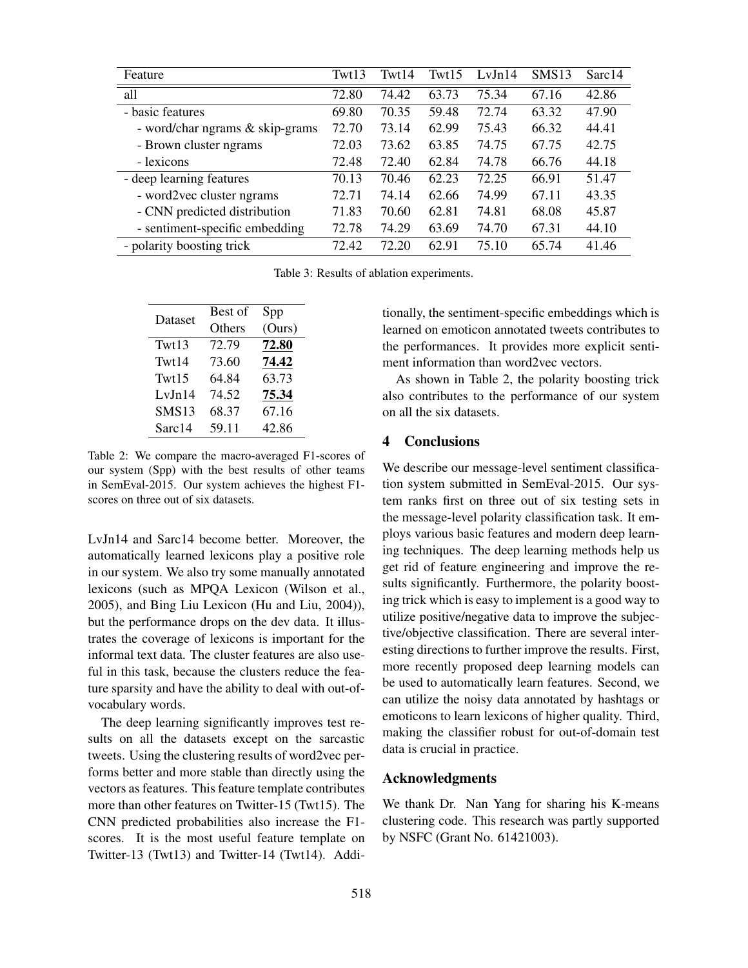| Feature                         | Twt13 | Twt14 | Twt15 | LvJn14 | <b>SMS13</b> | Sarc14 |
|---------------------------------|-------|-------|-------|--------|--------------|--------|
| all                             | 72.80 | 74.42 | 63.73 | 75.34  | 67.16        | 42.86  |
| - basic features                | 69.80 | 70.35 | 59.48 | 72.74  | 63.32        | 47.90  |
| - word/char ngrams & skip-grams | 72.70 | 73.14 | 62.99 | 75.43  | 66.32        | 44.41  |
| - Brown cluster ngrams          | 72.03 | 73.62 | 63.85 | 74.75  | 67.75        | 42.75  |
| - lexicons                      | 72.48 | 72.40 | 62.84 | 74.78  | 66.76        | 44.18  |
| - deep learning features        | 70.13 | 70.46 | 62.23 | 72.25  | 66.91        | 51.47  |
| - word2vec cluster ngrams       | 72.71 | 74.14 | 62.66 | 74.99  | 67.11        | 43.35  |
| - CNN predicted distribution    | 71.83 | 70.60 | 62.81 | 74.81  | 68.08        | 45.87  |
| - sentiment-specific embedding  | 72.78 | 74.29 | 63.69 | 74.70  | 67.31        | 44.10  |
| - polarity boosting trick       | 72.42 | 72.20 | 62.91 | 75.10  | 65.74        | 41.46  |

Table 3: Results of ablation experiments.

| Dataset           | Best of | Spp    |  |  |
|-------------------|---------|--------|--|--|
|                   | Others  | (Ours) |  |  |
| Twt13             | 72.79   | 72.80  |  |  |
| Twt14             | 73.60   | 74.42  |  |  |
| Twt15             | 64.84   | 63.73  |  |  |
| LvJn14            | 74.52   | 75.34  |  |  |
| SMS <sub>13</sub> | 68.37   | 67.16  |  |  |
| Sarc14            | 59.11   | 42.86  |  |  |

Table 2: We compare the macro-averaged F1-scores of our system (Spp) with the best results of other teams in SemEval-2015. Our system achieves the highest F1 scores on three out of six datasets.

LvJn14 and Sarc14 become better. Moreover, the automatically learned lexicons play a positive role in our system. We also try some manually annotated lexicons (such as MPQA Lexicon (Wilson et al., 2005), and Bing Liu Lexicon (Hu and Liu, 2004)), but the performance drops on the dev data. It illustrates the coverage of lexicons is important for the informal text data. The cluster features are also useful in this task, because the clusters reduce the feature sparsity and have the ability to deal with out-ofvocabulary words.

The deep learning significantly improves test results on all the datasets except on the sarcastic tweets. Using the clustering results of word2vec performs better and more stable than directly using the vectors as features. This feature template contributes more than other features on Twitter-15 (Twt15). The CNN predicted probabilities also increase the F1 scores. It is the most useful feature template on Twitter-13 (Twt13) and Twitter-14 (Twt14). Additionally, the sentiment-specific embeddings which is learned on emoticon annotated tweets contributes to the performances. It provides more explicit sentiment information than word2vec vectors.

As shown in Table 2, the polarity boosting trick also contributes to the performance of our system on all the six datasets.

#### 4 Conclusions

We describe our message-level sentiment classification system submitted in SemEval-2015. Our system ranks first on three out of six testing sets in the message-level polarity classification task. It employs various basic features and modern deep learning techniques. The deep learning methods help us get rid of feature engineering and improve the results significantly. Furthermore, the polarity boosting trick which is easy to implement is a good way to utilize positive/negative data to improve the subjective/objective classification. There are several interesting directions to further improve the results. First, more recently proposed deep learning models can be used to automatically learn features. Second, we can utilize the noisy data annotated by hashtags or emoticons to learn lexicons of higher quality. Third, making the classifier robust for out-of-domain test data is crucial in practice.

#### Acknowledgments

We thank Dr. Nan Yang for sharing his K-means clustering code. This research was partly supported by NSFC (Grant No. 61421003).